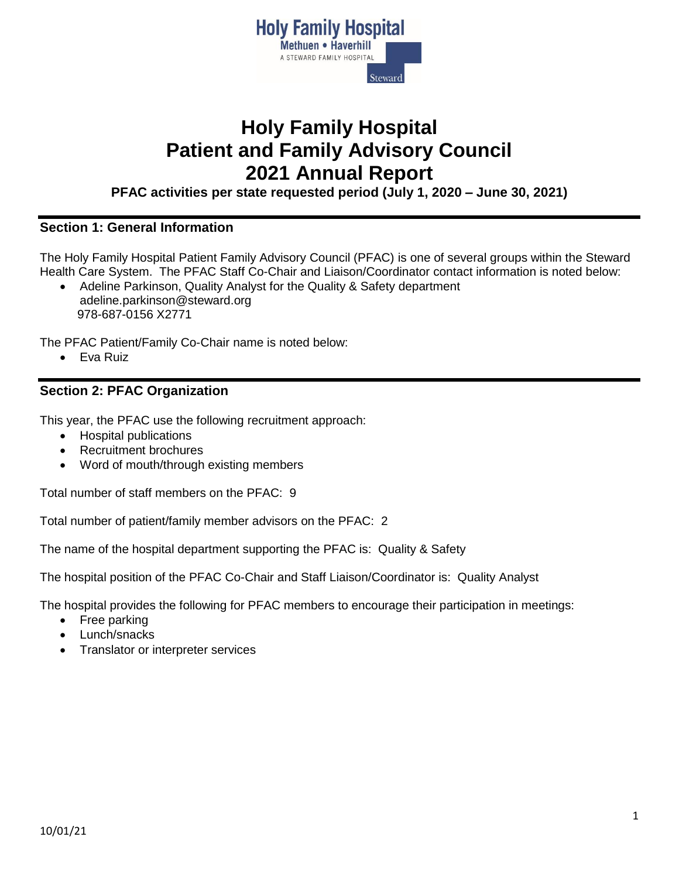

# **Holy Family Hospital Patient and Family Advisory Council 2021 Annual Report**

**PFAC activities per state requested period (July 1, 2020 – June 30, 2021)**

## **Section 1: General Information**

The Holy Family Hospital Patient Family Advisory Council (PFAC) is one of several groups within the Steward Health Care System. The PFAC Staff Co-Chair and Liaison/Coordinator contact information is noted below:

 Adeline Parkinson, Quality Analyst for the Quality & Safety department adeline.parkinson@steward.org 978-687-0156 X2771

The PFAC Patient/Family Co-Chair name is noted below:

Eva Ruiz

### **Section 2: PFAC Organization**

This year, the PFAC use the following recruitment approach:

- Hospital publications
- Recruitment brochures
- Word of mouth/through existing members

Total number of staff members on the PFAC: 9

Total number of patient/family member advisors on the PFAC: 2

The name of the hospital department supporting the PFAC is: Quality & Safety

The hospital position of the PFAC Co-Chair and Staff Liaison/Coordinator is: Quality Analyst

The hospital provides the following for PFAC members to encourage their participation in meetings:

- Free parking
- Lunch/snacks
- Translator or interpreter services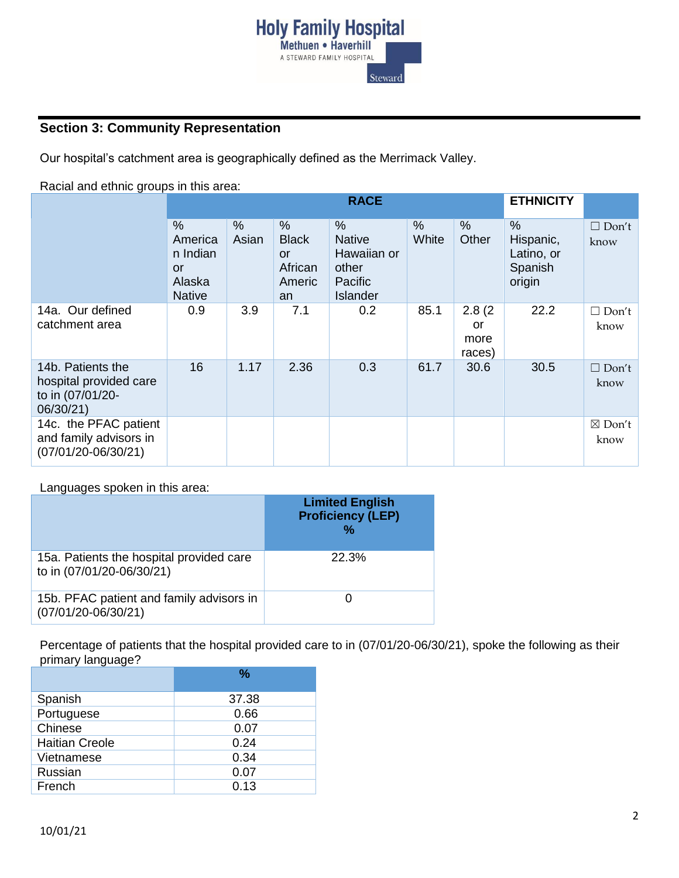

# **Section 3: Community Representation**

Our hospital's catchment area is geographically defined as the Merrimack Valley.

Racial and ethnic groups in this area:

|                                                                              | <b>RACE</b>                                                         |               |                                                                       |                                                                                             |                        | <b>ETHNICITY</b>               |                                                               |                      |
|------------------------------------------------------------------------------|---------------------------------------------------------------------|---------------|-----------------------------------------------------------------------|---------------------------------------------------------------------------------------------|------------------------|--------------------------------|---------------------------------------------------------------|----------------------|
|                                                                              | $\%$<br>America<br>n Indian<br><u>or</u><br>Alaska<br><b>Native</b> | $\%$<br>Asian | $\frac{0}{0}$<br><b>Black</b><br><u>or</u><br>African<br>Americ<br>an | $\frac{0}{0}$<br><b>Native</b><br>Hawaiian or<br>other<br><b>Pacific</b><br><b>Islander</b> | $\frac{0}{0}$<br>White | $\%$<br>Other                  | $\frac{0}{0}$<br>Hispanic,<br>Latino, or<br>Spanish<br>origin | $\Box$ Don't<br>know |
| 14a. Our defined<br>catchment area                                           | 0.9                                                                 | 3.9           | 7.1                                                                   | 0.2                                                                                         | 85.1                   | 2.8(2)<br>or<br>more<br>races) | 22.2                                                          | $\Box$ Don't<br>know |
| 14b. Patients the<br>hospital provided care<br>to in (07/01/20-<br>06/30/21) | 16                                                                  | 1.17          | 2.36                                                                  | 0.3                                                                                         | 61.7                   | 30.6                           | 30.5                                                          | $\Box$ Don't<br>know |
| 14c. the PFAC patient<br>and family advisors in<br>$(07/01/20-06/30/21)$     |                                                                     |               |                                                                       |                                                                                             |                        |                                |                                                               | ⊠ Don′t<br>know      |

Languages spoken in this area:

|                                                                       | <b>Limited English</b><br><b>Proficiency (LEP)</b><br>% |
|-----------------------------------------------------------------------|---------------------------------------------------------|
| 15a. Patients the hospital provided care<br>to in (07/01/20-06/30/21) | <b>22.3%</b>                                            |
| 15b. PFAC patient and family advisors in<br>$(07/01/20-06/30/21)$     |                                                         |

Percentage of patients that the hospital provided care to in (07/01/20-06/30/21), spoke the following as their primary language?

|                       | %     |
|-----------------------|-------|
| Spanish               | 37.38 |
| Portuguese            | 0.66  |
| Chinese               | 0.07  |
| <b>Haitian Creole</b> | 0.24  |
| Vietnamese            | 0.34  |
| Russian               | 0.07  |
| French                | 0.13  |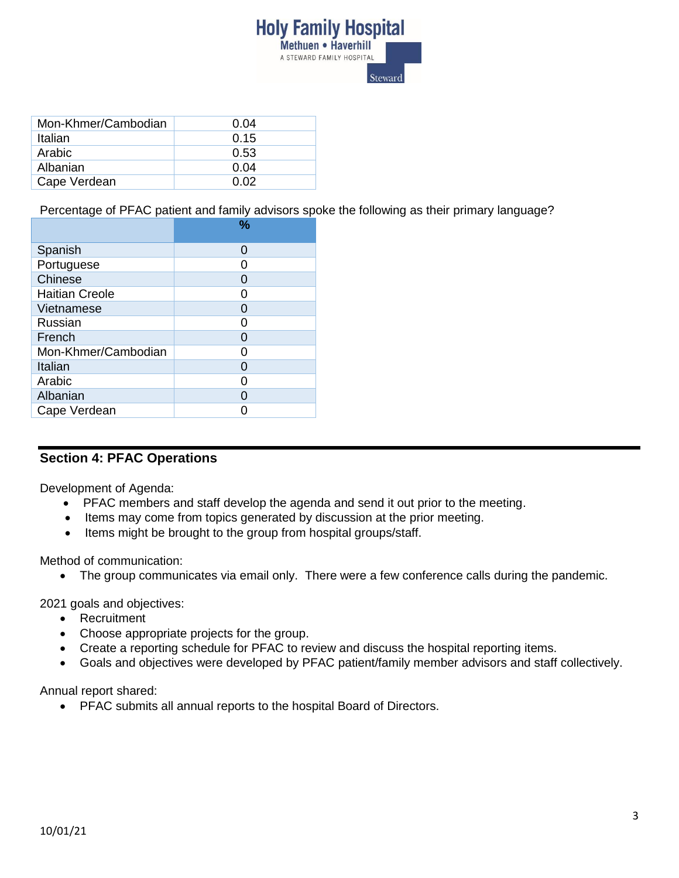

| Mon-Khmer/Cambodian | 0.04 |
|---------------------|------|
| Italian             | 0.15 |
| Arabic              | 0.53 |
| Albanian            | 0.04 |
| Cape Verdean        | በ በ2 |

Percentage of PFAC patient and family advisors spoke the following as their primary language?

| Spanish<br>O<br>Portuguese<br>ი<br>Chinese<br>0<br><b>Haitian Creole</b><br>O<br>Vietnamese<br>O<br>Russian<br>ი<br>French<br>0<br>Mon-Khmer/Cambodian<br>O<br>Italian<br>0<br>Arabic<br>O<br>Albanian<br>ი |              | % |
|-------------------------------------------------------------------------------------------------------------------------------------------------------------------------------------------------------------|--------------|---|
|                                                                                                                                                                                                             |              |   |
|                                                                                                                                                                                                             |              |   |
|                                                                                                                                                                                                             |              |   |
|                                                                                                                                                                                                             |              |   |
|                                                                                                                                                                                                             |              |   |
|                                                                                                                                                                                                             |              |   |
|                                                                                                                                                                                                             |              |   |
|                                                                                                                                                                                                             |              |   |
|                                                                                                                                                                                                             |              |   |
|                                                                                                                                                                                                             |              |   |
|                                                                                                                                                                                                             |              |   |
|                                                                                                                                                                                                             | Cape Verdean |   |

## **Section 4: PFAC Operations**

Development of Agenda:

- PFAC members and staff develop the agenda and send it out prior to the meeting.
- Items may come from topics generated by discussion at the prior meeting.
- Items might be brought to the group from hospital groups/staff.

Method of communication:

• The group communicates via email only. There were a few conference calls during the pandemic.

2021 goals and objectives:

- Recruitment
- Choose appropriate projects for the group.
- Create a reporting schedule for PFAC to review and discuss the hospital reporting items.
- Goals and objectives were developed by PFAC patient/family member advisors and staff collectively.

Annual report shared:

PFAC submits all annual reports to the hospital Board of Directors.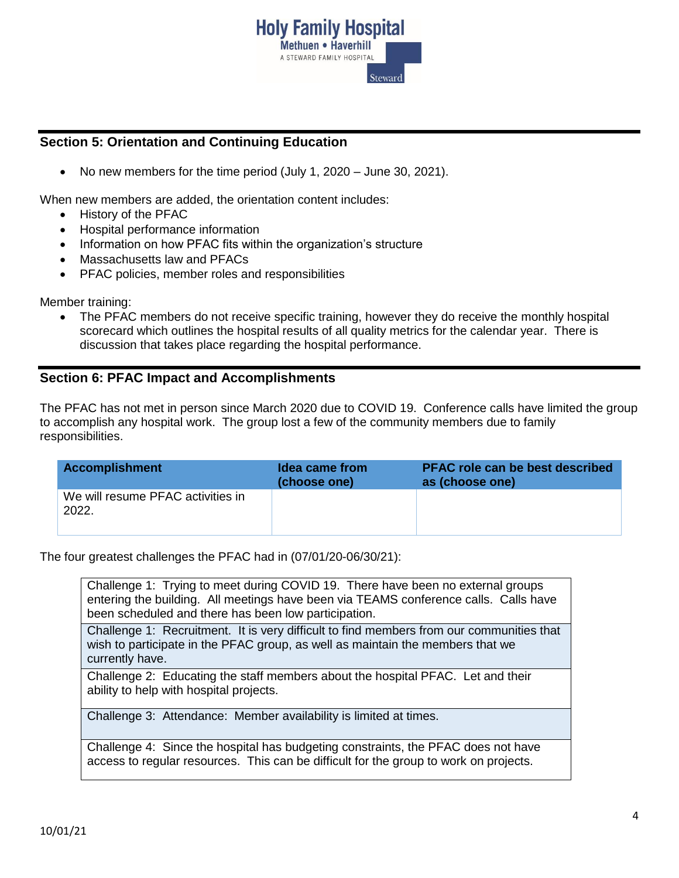

## **Section 5: Orientation and Continuing Education**

No new members for the time period (July 1, 2020 – June 30, 2021).

When new members are added, the orientation content includes:

- History of the PFAC
- Hospital performance information
- Information on how PFAC fits within the organization's structure
- Massachusetts law and PFACs
- PFAC policies, member roles and responsibilities

Member training:

 The PFAC members do not receive specific training, however they do receive the monthly hospital scorecard which outlines the hospital results of all quality metrics for the calendar year. There is discussion that takes place regarding the hospital performance.

### **Section 6: PFAC Impact and Accomplishments**

The PFAC has not met in person since March 2020 due to COVID 19. Conference calls have limited the group to accomplish any hospital work. The group lost a few of the community members due to family responsibilities.

| <b>Accomplishment</b>                      | Idea came from<br>(choose one) | <b>PFAC role can be best described</b><br>as (choose one) |
|--------------------------------------------|--------------------------------|-----------------------------------------------------------|
| We will resume PFAC activities in<br>2022. |                                |                                                           |

The four greatest challenges the PFAC had in (07/01/20-06/30/21):

Challenge 1: Trying to meet during COVID 19. There have been no external groups entering the building. All meetings have been via TEAMS conference calls. Calls have been scheduled and there has been low participation.

Challenge 1: Recruitment. It is very difficult to find members from our communities that wish to participate in the PFAC group, as well as maintain the members that we currently have.

Challenge 2: Educating the staff members about the hospital PFAC. Let and their ability to help with hospital projects.

Challenge 3: Attendance: Member availability is limited at times.

Challenge 4: Since the hospital has budgeting constraints, the PFAC does not have access to regular resources. This can be difficult for the group to work on projects.